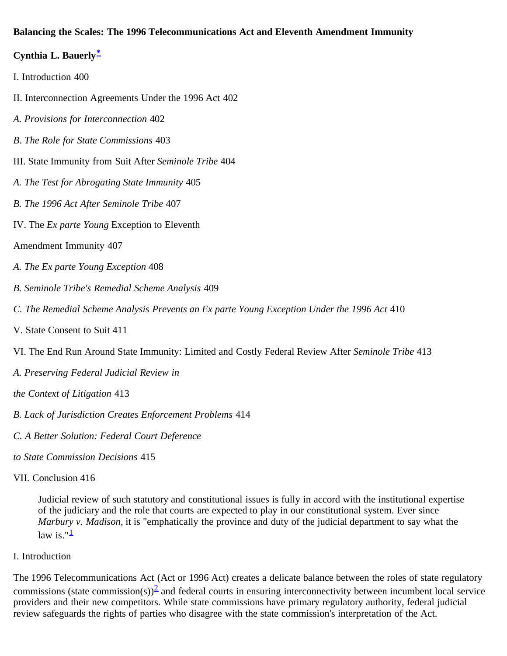#### <span id="page-0-0"></span>**Balancing the Scales: The 1996 Telecommunications Act and Eleventh Amendment Immunity**

#### **Cynthia L. Bauerly[\\*](#page-8-0)**

- I. Introduction 400
- II. Interconnection Agreements Under the 1996 Act 402
- *A. Provisions for Interconnection* 402
- *B*. *The Role for State Commissions* 403
- III. State Immunity from Suit After *Seminole Tribe* 404
- *A. The Test for Abrogating State Immunity* 405
- *B. The 1996 Act After Seminole Tribe* 407
- IV. The *Ex parte Young* Exception to Eleventh
- Amendment Immunity 407
- *A. The Ex parte Young Exception* 408
- *B. Seminole Tribe's Remedial Scheme Analysis* 409
- *C. The Remedial Scheme Analysis Prevents an Ex parte Young Exception Under the 1996 Act* 410
- V. State Consent to Suit 411
- VI. The End Run Around State Immunity: Limited and Costly Federal Review After *Seminole Tribe* 413
- *A. Preserving Federal Judicial Review in*
- *the Context of Litigation* 413
- *B. Lack of Jurisdiction Creates Enforcement Problems* 414
- *C. A Better Solution: Federal Court Deference*
- *to State Commission Decisions* 415
- VII. Conclusion 416

Judicial review of such statutory and constitutional issues is fully in accord with the institutional expertise of the judiciary and the role that courts are expected to play in our constitutional system. Ever since *Marbury v. Madison*, it is "emphatically the province and duty of the judicial department to say what the law is." $\frac{1}{2}$  $\frac{1}{2}$  $\frac{1}{2}$ 

I. Introduction

The 1996 Telecommunications Act (Act or 1996 Act) creates a delicate balance between the roles of state regulatory commissions (state commission(s))<sup>[2](#page-9-0)</sup> and federal courts in ensuring interconnectivity between incumbent local service providers and their new competitors. While state commissions have primary regulatory authority, federal judicial review safeguards the rights of parties who disagree with the state commission's interpretation of the Act.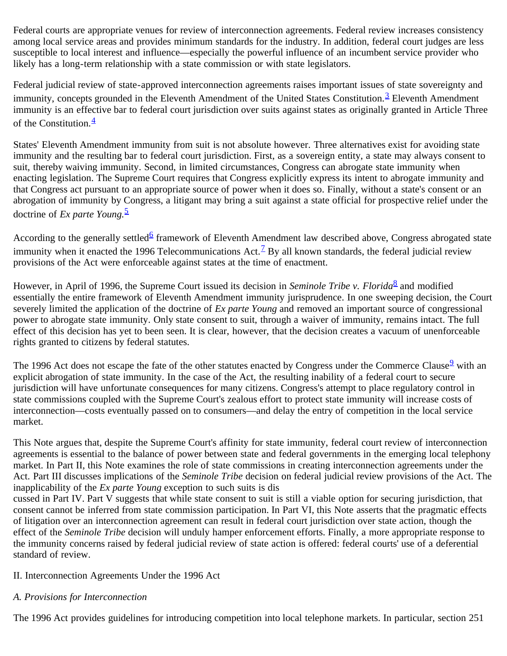Federal courts are appropriate venues for review of interconnection agreements. Federal review increases consistency among local service areas and provides minimum standards for the industry. In addition, federal court judges are less susceptible to local interest and influence—especially the powerful influence of an incumbent service provider who likely has a long-term relationship with a state commission or with state legislators.

Federal judicial review of state-approved interconnection agreements raises important issues of state sovereignty and immunity, concepts grounded in the Eleventh Amendment of the United States Constitution.<sup>[3](#page-9-1)</sup> Eleventh Amendment immunity is an effective bar to federal court jurisdiction over suits against states as originally granted in Article Three of the Constitution. $\frac{4}{3}$  $\frac{4}{3}$  $\frac{4}{3}$ 

States' Eleventh Amendment immunity from suit is not absolute however. Three alternatives exist for avoiding state immunity and the resulting bar to federal court jurisdiction. First, as a sovereign entity, a state may always consent to suit, thereby waiving immunity. Second, in limited circumstances, Congress can abrogate state immunity when enacting legislation. The Supreme Court requires that Congress explicitly express its intent to abrogate immunity and that Congress act pursuant to an appropriate source of power when it does so. Finally, without a state's consent or an abrogation of immunity by Congress, a litigant may bring a suit against a state official for prospective relief under the doctrine of *Ex parte Young.*[5](#page-9-3)

According to the generally settled<sup>[6](#page-9-4)</sup> framework of Eleventh Amendment law described above, Congress abrogated state immunity when it enacted the 1996 Telecommunications Act.<sup> $7$ </sup> By all known standards, the federal judicial review provisions of the Act were enforceable against states at the time of enactment.

However, in April of 1996, the Supreme Court issued its decision in *Seminole Tribe v. Florida*<sup>[8](#page-9-6)</sup> and modified essentially the entire framework of Eleventh Amendment immunity jurisprudence. In one sweeping decision, the Court severely limited the application of the doctrine of *Ex parte Young* and removed an important source of congressional power to abrogate state immunity. Only state consent to suit, through a waiver of immunity, remains intact. The full effect of this decision has yet to been seen. It is clear, however, that the decision creates a vacuum of unenforceable rights granted to citizens by federal statutes.

The 1[9](#page-9-7)96 Act does not escape the fate of the other statutes enacted by Congress under the Commerce Clause<sup>9</sup> with an explicit abrogation of state immunity. In the case of the Act, the resulting inability of a federal court to secure jurisdiction will have unfortunate consequences for many citizens. Congress's attempt to place regulatory control in state commissions coupled with the Supreme Court's zealous effort to protect state immunity will increase costs of interconnection—costs eventually passed on to consumers—and delay the entry of competition in the local service market.

This Note argues that, despite the Supreme Court's affinity for state immunity, federal court review of interconnection agreements is essential to the balance of power between state and federal governments in the emerging local telephony market. In Part II, this Note examines the role of state commissions in creating interconnection agreements under the Act. Part III discusses implications of the *Seminole Tribe* decision on federal judicial review provisions of the Act. The inapplicability of the *Ex parte Young* exception to such suits is dis

cussed in Part IV. Part V suggests that while state consent to suit is still a viable option for securing jurisdiction, that consent cannot be inferred from state commission participation. In Part VI, this Note asserts that the pragmatic effects of litigation over an interconnection agreement can result in federal court jurisdiction over state action, though the effect of the *Seminole Tribe* decision will unduly hamper enforcement efforts. Finally, a more appropriate response to the immunity concerns raised by federal judicial review of state action is offered: federal courts' use of a deferential standard of review.

### II. Interconnection Agreements Under the 1996 Act

# *A. Provisions for Interconnection*

The 1996 Act provides guidelines for introducing competition into local telephone markets. In particular, section 251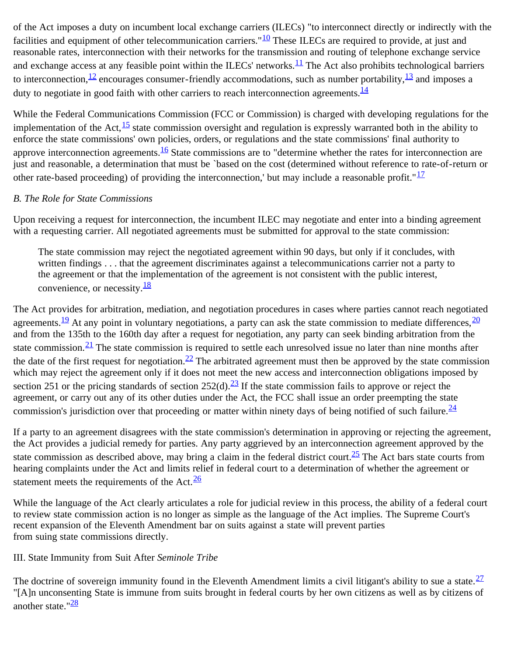of the Act imposes a duty on incumbent local exchange carriers (ILECs) "to interconnect directly or indirectly with the facilities and equipment of other telecommunication carriers." $10$  These ILECs are required to provide, at just and reasonable rates, interconnection with their networks for the transmission and routing of telephone exchange service and exchange access at any feasible point within the ILECs' networks.<sup>11</sup> The Act also prohibits technological barriers to interconnection,  $\frac{12}{2}$  encourages consumer-friendly accommodations, such as number portability,  $\frac{13}{2}$  $\frac{13}{2}$  $\frac{13}{2}$  and imposes a duty to negotiate in good faith with other carriers to reach interconnection agreements.  $\frac{14}{1}$  $\frac{14}{1}$  $\frac{14}{1}$ 

While the Federal Communications Commission (FCC or Commission) is charged with developing regulations for the implementation of the Act,  $\frac{15}{12}$  $\frac{15}{12}$  $\frac{15}{12}$  state commission oversight and regulation is expressly warranted both in the ability to enforce the state commissions' own policies, orders, or regulations and the state commissions' final authority to approve interconnection agreements.<sup>16</sup> State commissions are to "determine whether the rates for interconnection are just and reasonable, a determination that must be `based on the cost (determined without reference to rate-of-return or other rate-based proceeding) of providing the interconnection,' but may include a reasonable profit." $\frac{17}{17}$  $\frac{17}{17}$  $\frac{17}{17}$ 

### *B. The Role for State Commissions*

Upon receiving a request for interconnection, the incumbent ILEC may negotiate and enter into a binding agreement with a requesting carrier. All negotiated agreements must be submitted for approval to the state commission:

The state commission may reject the negotiated agreement within 90 days, but only if it concludes, with written findings . . . that the agreement discriminates against a telecommunications carrier not a party to the agreement or that the implementation of the agreement is not consistent with the public interest, convenience, or necessity. $\frac{18}{3}$  $\frac{18}{3}$  $\frac{18}{3}$ 

The Act provides for arbitration, mediation, and negotiation procedures in cases where parties cannot reach negotiated agreements.<sup>19</sup> At any point in voluntary negotiations, a party can ask the state commission to mediate differences,  $\frac{20}{\pi}$  $\frac{20}{\pi}$  $\frac{20}{\pi}$ and from the 135th to the 160th day after a request for negotiation, any party can seek binding arbitration from the state commission.<sup>21</sup> The state commission is required to settle each unresolved issue no later than nine months after the date of the first request for negotiation.<sup>22</sup> The arbitrated agreement must then be approved by the state commission which may reject the agreement only if it does not meet the new access and interconnection obligations imposed by section 251 or the pricing standards of section  $252(d)$ .  $\frac{23}{2}$  If the state commission fails to approve or reject the agreement, or carry out any of its other duties under the Act, the FCC shall issue an order preempting the state commission's jurisdiction over that proceeding or matter within ninety days of being notified of such failure.  $\frac{24}{3}$  $\frac{24}{3}$  $\frac{24}{3}$ 

If a party to an agreement disagrees with the state commission's determination in approving or rejecting the agreement, the Act provides a judicial remedy for parties. Any party aggrieved by an interconnection agreement approved by the state commission as described above, may bring a claim in the federal district court.  $\frac{25}{10}$  The Act bars state courts from hearing complaints under the Act and limits relief in federal court to a determination of whether the agreement or statement meets the requirements of the Act. $\frac{26}{3}$  $\frac{26}{3}$  $\frac{26}{3}$ 

While the language of the Act clearly articulates a role for judicial review in this process, the ability of a federal court to review state commission action is no longer as simple as the language of the Act implies. The Supreme Court's recent expansion of the Eleventh Amendment bar on suits against a state will prevent parties from suing state commissions directly.

### III. State Immunity from Suit After *Seminole Tribe*

The doctrine of sovereign immunity found in the Eleventh Amendment limits a civil litigant's ability to sue a state. $\frac{27}{27}$  $\frac{27}{27}$  $\frac{27}{27}$ "[A]n unconsenting State is immune from suits brought in federal courts by her own citizens as well as by citizens of another state."<sup>[28](#page-10-6)</sup>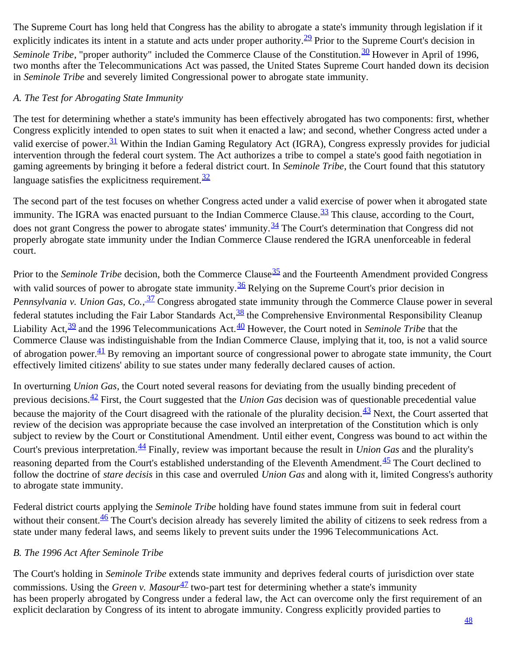The Supreme Court has long held that Congress has the ability to abrogate a state's immunity through legislation if it explicitly indicates its intent in a statute and acts under proper authority.<sup>29</sup> Prior to the Supreme Court's decision in *Seminole Tribe*, "proper authority" included the Commerce Clause of the Constitution.<sup>30</sup> However in April of 1996, two months after the Telecommunications Act was passed, the United States Supreme Court handed down its decision in *Seminole Tribe* and severely limited Congressional power to abrogate state immunity.

# *A. The Test for Abrogating State Immunity*

The test for determining whether a state's immunity has been effectively abrogated has two components: first, whether Congress explicitly intended to open states to suit when it enacted a law; and second, whether Congress acted under a valid exercise of power.<sup>[31](#page-10-9)</sup> Within the Indian Gaming Regulatory Act (IGRA), Congress expressly provides for judicial intervention through the federal court system. The Act authorizes a tribe to compel a state's good faith negotiation in gaming agreements by bringing it before a federal district court. In *Seminole Tribe*, the Court found that this statutory language satisfies the explicitness requirement.  $\frac{32}{3}$  $\frac{32}{3}$  $\frac{32}{3}$ 

The second part of the test focuses on whether Congress acted under a valid exercise of power when it abrogated state immunity. The IGRA was enacted pursuant to the Indian Commerce Clause. $\frac{33}{10}$  $\frac{33}{10}$  $\frac{33}{10}$  This clause, according to the Court, does not grant Congress the power to abrogate states' immunity.<sup>[34](#page-10-12)</sup> The Court's determination that Congress did not properly abrogate state immunity under the Indian Commerce Clause rendered the IGRA unenforceable in federal court.

Prior to the *Seminole Tribe* decision, both the Commerce Clause<sup>35</sup> and the Fourteenth Amendment provided Congress with valid sources of power to abrogate state immunity.<sup>[36](#page-10-14)</sup> Relying on the Supreme Court's prior decision in Pennsylvania v. Union Gas, Co., <sup>37</sup> Congress abrogated state immunity through the Commerce Clause power in several federal statutes including the Fair Labor Standards Act,  $\frac{38}{3}$  $\frac{38}{3}$  $\frac{38}{3}$  the Comprehensive Environmental Responsibility Cleanup Liability Act, <sup>39</sup> and the 1996 Telecommunications Act.<sup>40</sup> However, the Court noted in *Seminole Tribe* that the Commerce Clause was indistinguishable from the Indian Commerce Clause, implying that it, too, is not a valid source of abrogation power. $\frac{41}{3}$  $\frac{41}{3}$  $\frac{41}{3}$  By removing an important source of congressional power to abrogate state immunity, the Court effectively limited citizens' ability to sue states under many federally declared causes of action.

In overturning *Union Gas*, the Court noted several reasons for deviating from the usually binding precedent of previous decisions.[42](#page-10-19) First, the Court suggested that the *Union Gas* decision was of questionable precedential value because the majority of the Court disagreed with the rationale of the plurality decision. $\frac{43}{3}$  $\frac{43}{3}$  $\frac{43}{3}$  Next, the Court asserted that review of the decision was appropriate because the case involved an interpretation of the Constitution which is only subject to review by the Court or Constitutional Amendment. Until either event, Congress was bound to act within the Court's previous interpretation.[44](#page-10-21) Finally, review was important because the result in *Union Gas* and the plurality's reasoning departed from the Court's established understanding of the Eleventh Amendment.<sup>[45](#page-11-0)</sup> The Court declined to follow the doctrine of *stare decisis* in this case and overruled *Union Gas* and along with it, limited Congress's authority to abrogate state immunity.

Federal district courts applying the *Seminole Tribe* holding have found states immune from suit in federal court without their consent.  $\frac{46}{5}$  The Court's decision already has severely limited the ability of citizens to seek redress from a state under many federal laws, and seems likely to prevent suits under the 1996 Telecommunications Act.

# *B. The 1996 Act After Seminole Tribe*

The Court's holding in *Seminole Tribe* extends state immunity and deprives federal courts of jurisdiction over state commissions. Using the *Green v. Masour*<sup>47</sup> two-part test for determining whether a state's immunity has been properly abrogated by Congress under a federal law, the Act can overcome only the first requirement of an explicit declaration by Congress of its intent to abrogate immunity. Congress explicitly provided parties to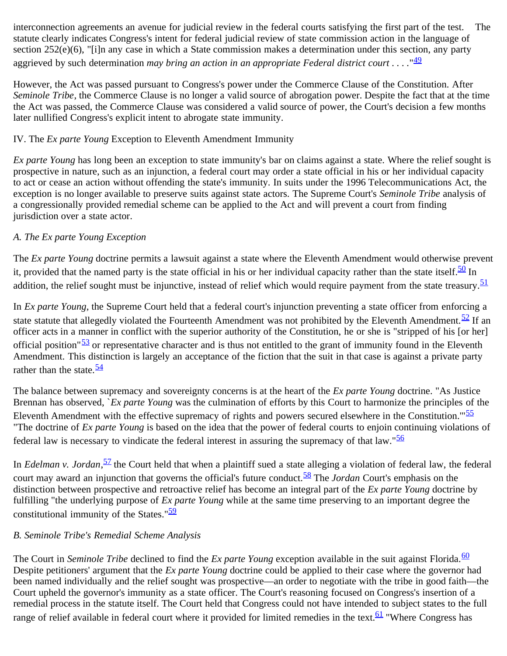interconnection agreements an avenue for judicial review in the federal courts satisfying the first part of the test. The statute clearly indicates Congress's intent for federal judicial review of state commission action in the language of section 252(e)(6), "[i]n any case in which a State commission makes a determination under this section, any party aggrieved by such determination *may bring an action in an appropriate Federal district court . . . .*"[49](#page-11-4)

However, the Act was passed pursuant to Congress's power under the Commerce Clause of the Constitution. After *Seminole Tribe*, the Commerce Clause is no longer a valid source of abrogation power. Despite the fact that at the time the Act was passed, the Commerce Clause was considered a valid source of power, the Court's decision a few months later nullified Congress's explicit intent to abrogate state immunity.

# IV. The *Ex parte Young* Exception to Eleventh Amendment Immunity

*Ex parte Young* has long been an exception to state immunity's bar on claims against a state. Where the relief sought is prospective in nature, such as an injunction, a federal court may order a state official in his or her individual capacity to act or cease an action without offending the state's immunity. In suits under the 1996 Telecommunications Act, the exception is no longer available to preserve suits against state actors. The Supreme Court's *Seminole Tribe* analysis of a congressionally provided remedial scheme can be applied to the Act and will prevent a court from finding jurisdiction over a state actor.

# *A. The Ex parte Young Exception*

The *Ex parte Young* doctrine permits a lawsuit against a state where the Eleventh Amendment would otherwise prevent it, provided that the named party is the state official in his or her individual capacity rather than the state itself. $\frac{50}{20}$  In addition, the relief sought must be injunctive, instead of relief which would require payment from the state treasury.<sup>[51](#page-11-6)</sup>

In *Ex parte Young*, the Supreme Court held that a federal court's injunction preventing a state officer from enforcing a state statute that allegedly violated the Fourteenth Amendment was not prohibited by the Eleventh Amendment.<sup>52</sup> If an officer acts in a manner in conflict with the superior authority of the Constitution, he or she is "stripped of his [or her] official position" $\frac{53}{2}$  or representative character and is thus not entitled to the grant of immunity found in the Eleventh Amendment. This distinction is largely an acceptance of the fiction that the suit in that case is against a private party rather than the state.  $\frac{54}{5}$  $\frac{54}{5}$  $\frac{54}{5}$ 

The balance between supremacy and sovereignty concerns is at the heart of the *Ex parte Young* doctrine. "As Justice Brennan has observed, `*Ex parte Young* was the culmination of efforts by this Court to harmonize the principles of the Eleventh Amendment with the effective supremacy of rights and powers secured elsewhere in the Constitution."<sup>[55](#page-11-10)</sup> "The doctrine of *Ex parte Young* is based on the idea that the power of federal courts to enjoin continuing violations of federal law is necessary to vindicate the federal interest in assuring the supremacy of that law."[56](#page-11-11)

In *Edelman v. Jordan*,<sup>57</sup> the Court held that when a plaintiff sued a state alleging a violation of federal law, the federal court may award an injunction that governs the official's future conduct.<sup>[58](#page-11-13)</sup> The *Jordan* Court's emphasis on the distinction between prospective and retroactive relief has become an integral part of the *Ex parte Young* doctrine by fulfilling "the underlying purpose of *Ex parte Young* while at the same time preserving to an important degree the constitutional immunity of the States." $\frac{59}{2}$  $\frac{59}{2}$  $\frac{59}{2}$ 

# *B. Seminole Tribe's Remedial Scheme Analysis*

The Court in *Seminole Tribe* declined to find the *Ex parte Young* exception available in the suit against Florida.<sup>[60](#page-11-15)</sup> Despite petitioners' argument that the *Ex parte Young* doctrine could be applied to their case where the governor had been named individually and the relief sought was prospective—an order to negotiate with the tribe in good faith—the Court upheld the governor's immunity as a state officer. The Court's reasoning focused on Congress's insertion of a remedial process in the statute itself. The Court held that Congress could not have intended to subject states to the full range of relief available in federal court where it provided for limited remedies in the text.<sup>[61](#page-11-16)</sup> "Where Congress has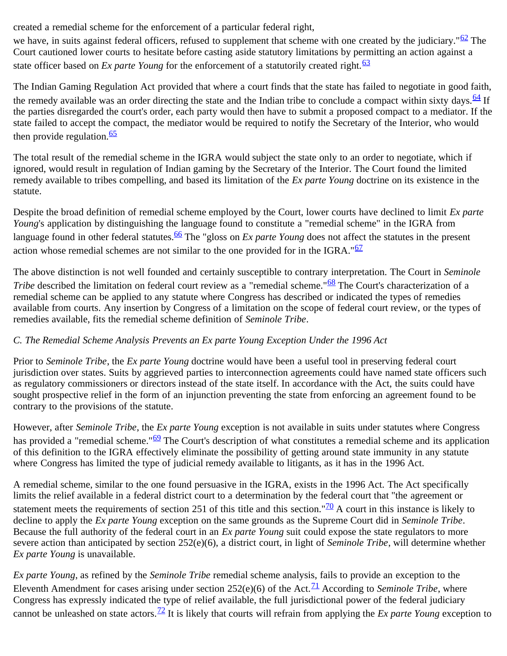created a remedial scheme for the enforcement of a particular federal right,

we have, in suits against federal officers, refused to supplement that scheme with one created by the judiciary." $62$  The Court cautioned lower courts to hesitate before casting aside statutory limitations by permitting an action against a state officer based on  $Ex$  parte Young for the enforcement of a statutorily created right.<sup>[63](#page-11-18)</sup>

The Indian Gaming Regulation Act provided that where a court finds that the state has failed to negotiate in good faith, the remedy available was an order directing the state and the Indian tribe to conclude a compact within sixty days.  $\frac{64}{ }$  If the parties disregarded the court's order, each party would then have to submit a proposed compact to a mediator. If the state failed to accept the compact, the mediator would be required to notify the Secretary of the Interior, who would then provide regulation. $\frac{65}{5}$  $\frac{65}{5}$  $\frac{65}{5}$ 

The total result of the remedial scheme in the IGRA would subject the state only to an order to negotiate, which if ignored, would result in regulation of Indian gaming by the Secretary of the Interior. The Court found the limited remedy available to tribes compelling, and based its limitation of the *Ex parte Young* doctrine on its existence in the statute.

Despite the broad definition of remedial scheme employed by the Court, lower courts have declined to limit *Ex parte Young*'s application by distinguishing the language found to constitute a "remedial scheme" in the IGRA from language found in other federal statutes.<sup>[66](#page-12-1)</sup> The "gloss on *Ex parte Young* does not affect the statutes in the present action whose remedial schemes are not similar to the one provided for in the IGRA."<sup>[67](#page-12-2)</sup>

The above distinction is not well founded and certainly susceptible to contrary interpretation. The Court in *Seminole Tribe* described the limitation on federal court review as a "remedial scheme."<sup>68</sup> The Court's characterization of a remedial scheme can be applied to any statute where Congress has described or indicated the types of remedies available from courts. Any insertion by Congress of a limitation on the scope of federal court review, or the types of remedies available, fits the remedial scheme definition of *Seminole Tribe*.

# *C. The Remedial Scheme Analysis Prevents an Ex parte Young Exception Under the 1996 Act*

Prior to *Seminole Tribe*, the *Ex parte Young* doctrine would have been a useful tool in preserving federal court jurisdiction over states. Suits by aggrieved parties to interconnection agreements could have named state officers such as regulatory commissioners or directors instead of the state itself. In accordance with the Act, the suits could have sought prospective relief in the form of an injunction preventing the state from enforcing an agreement found to be contrary to the provisions of the statute.

However, after *Seminole Tribe*, the *Ex parte Young* exception is not available in suits under statutes where Congress has provided a "remedial scheme."<sup>69</sup> The Court's description of what constitutes a remedial scheme and its application of this definition to the IGRA effectively eliminate the possibility of getting around state immunity in any statute where Congress has limited the type of judicial remedy available to litigants, as it has in the 1996 Act.

A remedial scheme, similar to the one found persuasive in the IGRA, exists in the 1996 Act. The Act specifically limits the relief available in a federal district court to a determination by the federal court that "the agreement or statement meets the requirements of section 251 of this title and this section." $\frac{70}{2}$  $\frac{70}{2}$  $\frac{70}{2}$  A court in this instance is likely to decline to apply the *Ex parte Young* exception on the same grounds as the Supreme Court did in *Seminole Tribe*. Because the full authority of the federal court in an *Ex parte Young* suit could expose the state regulators to more severe action than anticipated by section 252(e)(6), a district court, in light of *Seminole Tribe*, will determine whether *Ex parte Young* is unavailable.

*Ex parte Young*, as refined by the *Seminole Tribe* remedial scheme analysis, fails to provide an exception to the Eleventh Amendment for cases arising under section  $252(e)(6)$  of the Act.<sup>71</sup> According to *Seminole Tribe*, where Congress has expressly indicated the type of relief available, the full jurisdictional power of the federal judiciary cannot be unleashed on state actors.[72](#page-12-7) It is likely that courts will refrain from applying the *Ex parte Young* exception to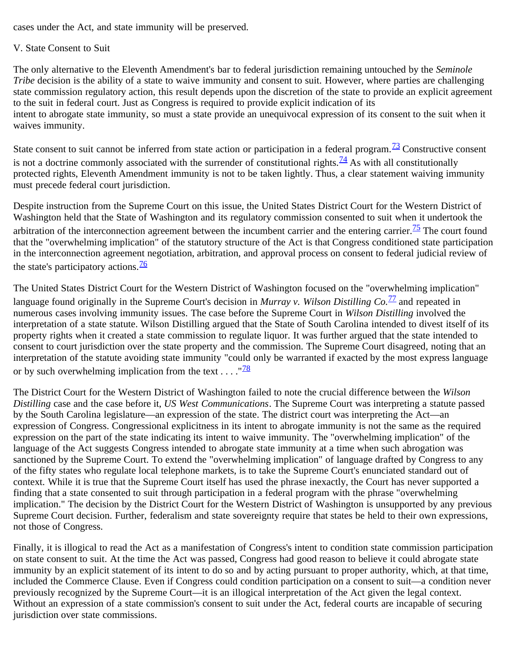cases under the Act, and state immunity will be preserved.

## V. State Consent to Suit

The only alternative to the Eleventh Amendment's bar to federal jurisdiction remaining untouched by the *Seminole Tribe* decision is the ability of a state to waive immunity and consent to suit. However, where parties are challenging state commission regulatory action, this result depends upon the discretion of the state to provide an explicit agreement to the suit in federal court. Just as Congress is required to provide explicit indication of its intent to abrogate state immunity, so must a state provide an unequivocal expression of its consent to the suit when it waives immunity.

State consent to suit cannot be inferred from state action or participation in a federal program. $\frac{73}{13}$  Constructive consent is not a doctrine commonly associated with the surrender of constitutional rights.<sup>74</sup> As with all constitutionally protected rights, Eleventh Amendment immunity is not to be taken lightly. Thus, a clear statement waiving immunity must precede federal court jurisdiction.

Despite instruction from the Supreme Court on this issue, the United States District Court for the Western District of Washington held that the State of Washington and its regulatory commission consented to suit when it undertook the arbitration of the interconnection agreement between the incumbent carrier and the entering carrier.<sup>[75](#page-12-10)</sup> The court found that the "overwhelming implication" of the statutory structure of the Act is that Congress conditioned state participation in the interconnection agreement negotiation, arbitration, and approval process on consent to federal judicial review of the state's participatory actions.  $\frac{76}{6}$  $\frac{76}{6}$  $\frac{76}{6}$ 

The United States District Court for the Western District of Washington focused on the "overwhelming implication" language found originally in the Supreme Court's decision in *Murray v. Wilson Distilling Co.*[77](#page-12-12) and repeated in numerous cases involving immunity issues. The case before the Supreme Court in *Wilson Distilling* involved the interpretation of a state statute. Wilson Distilling argued that the State of South Carolina intended to divest itself of its property rights when it created a state commission to regulate liquor. It was further argued that the state intended to consent to court jurisdiction over the state property and the commission. The Supreme Court disagreed, noting that an interpretation of the statute avoiding state immunity "could only be warranted if exacted by the most express language or by such overwhelming implication from the text  $\dots$ . " $\frac{78}{28}$  $\frac{78}{28}$  $\frac{78}{28}$ 

The District Court for the Western District of Washington failed to note the crucial difference between the *Wilson Distilling* case and the case before it, *US West Communications*. The Supreme Court was interpreting a statute passed by the South Carolina legislature—an expression of the state. The district court was interpreting the Act—an expression of Congress. Congressional explicitness in its intent to abrogate immunity is not the same as the required expression on the part of the state indicating its intent to waive immunity. The "overwhelming implication" of the language of the Act suggests Congress intended to abrogate state immunity at a time when such abrogation was sanctioned by the Supreme Court. To extend the "overwhelming implication" of language drafted by Congress to any of the fifty states who regulate local telephone markets, is to take the Supreme Court's enunciated standard out of context. While it is true that the Supreme Court itself has used the phrase inexactly, the Court has never supported a finding that a state consented to suit through participation in a federal program with the phrase "overwhelming implication." The decision by the District Court for the Western District of Washington is unsupported by any previous Supreme Court decision. Further, federalism and state sovereignty require that states be held to their own expressions, not those of Congress.

Finally, it is illogical to read the Act as a manifestation of Congress's intent to condition state commission participation on state consent to suit. At the time the Act was passed, Congress had good reason to believe it could abrogate state immunity by an explicit statement of its intent to do so and by acting pursuant to proper authority, which, at that time, included the Commerce Clause. Even if Congress could condition participation on a consent to suit—a condition never previously recognized by the Supreme Court—it is an illogical interpretation of the Act given the legal context. Without an expression of a state commission's consent to suit under the Act, federal courts are incapable of securing jurisdiction over state commissions.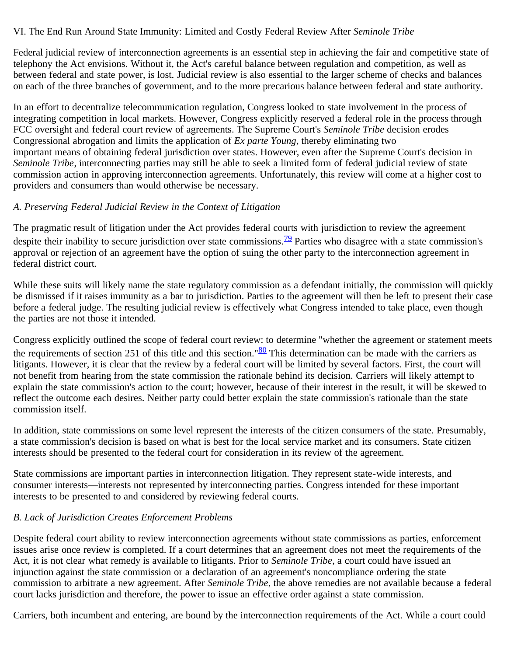### VI. The End Run Around State Immunity: Limited and Costly Federal Review After *Seminole Tribe*

Federal judicial review of interconnection agreements is an essential step in achieving the fair and competitive state of telephony the Act envisions. Without it, the Act's careful balance between regulation and competition, as well as between federal and state power, is lost. Judicial review is also essential to the larger scheme of checks and balances on each of the three branches of government, and to the more precarious balance between federal and state authority.

In an effort to decentralize telecommunication regulation, Congress looked to state involvement in the process of integrating competition in local markets. However, Congress explicitly reserved a federal role in the process through FCC oversight and federal court review of agreements. The Supreme Court's *Seminole Tribe* decision erodes Congressional abrogation and limits the application of *Ex parte Young*, thereby eliminating two important means of obtaining federal jurisdiction over states. However, even after the Supreme Court's decision in *Seminole Tribe*, interconnecting parties may still be able to seek a limited form of federal judicial review of state commission action in approving interconnection agreements. Unfortunately, this review will come at a higher cost to providers and consumers than would otherwise be necessary.

### *A. Preserving Federal Judicial Review in the Context of Litigation*

The pragmatic result of litigation under the Act provides federal courts with jurisdiction to review the agreement despite their inability to secure jurisdiction over state commissions.<sup>79</sup> Parties who disagree with a state commission's approval or rejection of an agreement have the option of suing the other party to the interconnection agreement in federal district court.

While these suits will likely name the state regulatory commission as a defendant initially, the commission will quickly be dismissed if it raises immunity as a bar to jurisdiction. Parties to the agreement will then be left to present their case before a federal judge. The resulting judicial review is effectively what Congress intended to take place, even though the parties are not those it intended.

Congress explicitly outlined the scope of federal court review: to determine "whether the agreement or statement meets the requirements of section 251 of this title and this section." $80$  This determination can be made with the carriers as litigants. However, it is clear that the review by a federal court will be limited by several factors. First, the court will not benefit from hearing from the state commission the rationale behind its decision. Carriers will likely attempt to explain the state commission's action to the court; however, because of their interest in the result, it will be skewed to reflect the outcome each desires. Neither party could better explain the state commission's rationale than the state commission itself.

In addition, state commissions on some level represent the interests of the citizen consumers of the state. Presumably, a state commission's decision is based on what is best for the local service market and its consumers. State citizen interests should be presented to the federal court for consideration in its review of the agreement.

State commissions are important parties in interconnection litigation. They represent state-wide interests, and consumer interests—interests not represented by interconnecting parties. Congress intended for these important interests to be presented to and considered by reviewing federal courts.

# *B. Lack of Jurisdiction Creates Enforcement Problems*

Despite federal court ability to review interconnection agreements without state commissions as parties, enforcement issues arise once review is completed. If a court determines that an agreement does not meet the requirements of the Act, it is not clear what remedy is available to litigants. Prior to *Seminole Tribe*, a court could have issued an injunction against the state commission or a declaration of an agreement's noncompliance ordering the state commission to arbitrate a new agreement. After *Seminole Tribe*, the above remedies are not available because a federal court lacks jurisdiction and therefore, the power to issue an effective order against a state commission.

Carriers, both incumbent and entering, are bound by the interconnection requirements of the Act. While a court could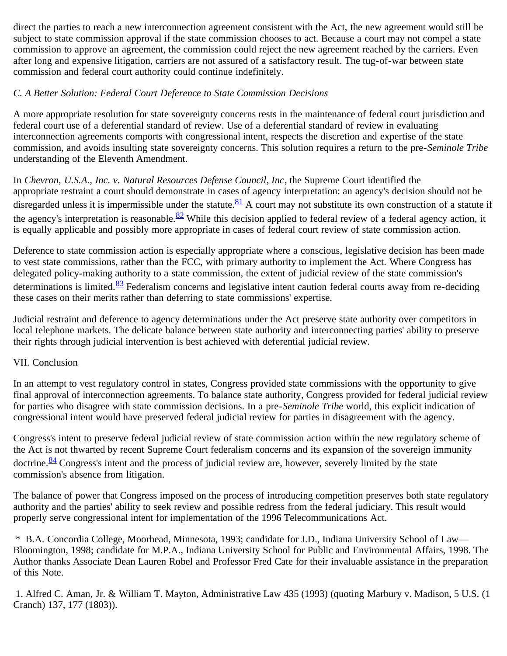direct the parties to reach a new interconnection agreement consistent with the Act, the new agreement would still be subject to state commission approval if the state commission chooses to act. Because a court may not compel a state commission to approve an agreement, the commission could reject the new agreement reached by the carriers. Even after long and expensive litigation, carriers are not assured of a satisfactory result. The tug-of-war between state commission and federal court authority could continue indefinitely.

## *C. A Better Solution: Federal Court Deference to State Commission Decisions*

A more appropriate resolution for state sovereignty concerns rests in the maintenance of federal court jurisdiction and federal court use of a deferential standard of review. Use of a deferential standard of review in evaluating interconnection agreements comports with congressional intent, respects the discretion and expertise of the state commission, and avoids insulting state sovereignty concerns. This solution requires a return to the pre-*Seminole Tribe* understanding of the Eleventh Amendment.

In *Chevron, U.S.A., Inc. v. Natural Resources Defense Council*, *Inc*, the Supreme Court identified the appropriate restraint a court should demonstrate in cases of agency interpretation: an agency's decision should not be disregarded unless it is impermissible under the statute.  $81$  A court may not substitute its own construction of a statute if the agency's interpretation is reasonable.  $82$  While this decision applied to federal review of a federal agency action, it is equally applicable and possibly more appropriate in cases of federal court review of state commission action.

Deference to state commission action is especially appropriate where a conscious, legislative decision has been made to vest state commissions, rather than the FCC, with primary authority to implement the Act. Where Congress has delegated policy-making authority to a state commission, the extent of judicial review of the state commission's determinations is limited.<sup>83</sup> Federalism concerns and legislative intent caution federal courts away from re-deciding these cases on their merits rather than deferring to state commissions' expertise.

Judicial restraint and deference to agency determinations under the Act preserve state authority over competitors in local telephone markets. The delicate balance between state authority and interconnecting parties' ability to preserve their rights through judicial intervention is best achieved with deferential judicial review.

### VII. Conclusion

In an attempt to vest regulatory control in states, Congress provided state commissions with the opportunity to give final approval of interconnection agreements. To balance state authority, Congress provided for federal judicial review for parties who disagree with state commission decisions. In a pre-*Seminole Tribe* world, this explicit indication of congressional intent would have preserved federal judicial review for parties in disagreement with the agency.

Congress's intent to preserve federal judicial review of state commission action within the new regulatory scheme of the Act is not thwarted by recent Supreme Court federalism concerns and its expansion of the sovereign immunity doctrine.  $\frac{84}{3}$  Congress's intent and the process of judicial review are, however, severely limited by the state commission's absence from litigation.

The balance of power that Congress imposed on the process of introducing competition preserves both state regulatory authority and the parties' ability to seek review and possible redress from the federal judiciary. This result would properly serve congressional intent for implementation of the 1996 Telecommunications Act.

<span id="page-8-0"></span> \* B.A. Concordia College, Moorhead, Minnesota, 1993; candidate for J.D., Indiana University School of Law— Bloomington, 1998; candidate for M.P.A., Indiana University School for Public and Environmental Affairs, 1998. The Author thanks Associate Dean Lauren Robel and Professor Fred Cate for their invaluable assistance in the preparation of this Note.

<span id="page-8-1"></span> 1. Alfred C. Aman, Jr. & William T. Mayton, Administrative Law 435 (1993) (quoting Marbury v. Madison, 5 U.S. (1 Cranch) 137, 177 (1803)).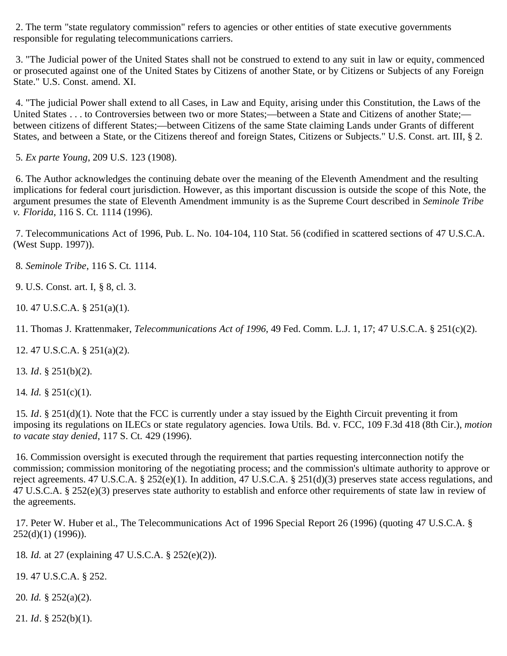<span id="page-9-0"></span> 2. The term "state regulatory commission" refers to agencies or other entities of state executive governments responsible for regulating telecommunications carriers.

<span id="page-9-1"></span> 3. "The Judicial power of the United States shall not be construed to extend to any suit in law or equity, commenced or prosecuted against one of the United States by Citizens of another State, or by Citizens or Subjects of any Foreign State." U.S. Const. amend. XI.

<span id="page-9-2"></span> 4. "The judicial Power shall extend to all Cases, in Law and Equity, arising under this Constitution, the Laws of the United States . . . to Controversies between two or more States;—between a State and Citizens of another State; between citizens of different States;—between Citizens of the same State claiming Lands under Grants of different States, and between a State, or the Citizens thereof and foreign States, Citizens or Subjects." U.S. Const. art. III, § 2.

<span id="page-9-3"></span>5*. Ex parte Young*, 209 U.S. 123 (1908).

<span id="page-9-4"></span> 6. The Author acknowledges the continuing debate over the meaning of the Eleventh Amendment and the resulting implications for federal court jurisdiction. However, as this important discussion is outside the scope of this Note, the argument presumes the state of Eleventh Amendment immunity is as the Supreme Court described in *Seminole Tribe v. Florida*, 116 S. Ct. 1114 (1996).

<span id="page-9-5"></span> 7. Telecommunications Act of 1996, Pub. L. No. 104-104, 110 Stat. 56 (codified in scattered sections of 47 U.S.C.A. (West Supp. 1997)).

<span id="page-9-6"></span>8*. Seminole Tribe*, 116 S. Ct. 1114.

<span id="page-9-7"></span>9. U.S. Const. art. I, § 8, cl. 3.

<span id="page-9-8"></span>10. 47 U.S.C.A. § 251(a)(1).

<span id="page-9-9"></span>11. Thomas J. Krattenmaker, *Telecommunications Act of 1996*, 49 Fed. Comm. L.J. 1, 17; 47 U.S.C.A. § 251(c)(2).

<span id="page-9-10"></span>12. 47 U.S.C.A. § 251(a)(2).

<span id="page-9-11"></span>13*. Id*. § 251(b)(2).

<span id="page-9-12"></span>14*. Id.* § 251(c)(1).

<span id="page-9-13"></span>15*. Id*. § 251(d)(1). Note that the FCC is currently under a stay issued by the Eighth Circuit preventing it from imposing its regulations on ILECs or state regulatory agencies. Iowa Utils. Bd. v. FCC, 109 F.3d 418 (8th Cir.), *motion to vacate stay denied*, 117 S. Ct. 429 (1996).

<span id="page-9-14"></span> 16. Commission oversight is executed through the requirement that parties requesting interconnection notify the commission; commission monitoring of the negotiating process; and the commission's ultimate authority to approve or reject agreements. 47 U.S.C.A. § 252(e)(1). In addition, 47 U.S.C.A. § 251(d)(3) preserves state access regulations, and 47 U.S.C.A. § 252(e)(3) preserves state authority to establish and enforce other requirements of state law in review of the agreements.

<span id="page-9-15"></span> 17. Peter W. Huber et al., The Telecommunications Act of 1996 Special Report 26 (1996) (quoting 47 U.S.C.A. § 252(d)(1) (1996)).

<span id="page-9-16"></span>18*. Id.* at 27 (explaining 47 U.S.C.A. § 252(e)(2)).

<span id="page-9-17"></span>19. 47 U.S.C.A. § 252.

<span id="page-9-18"></span>20*. Id.* § 252(a)(2).

<span id="page-9-19"></span>21*. Id*. § 252(b)(1).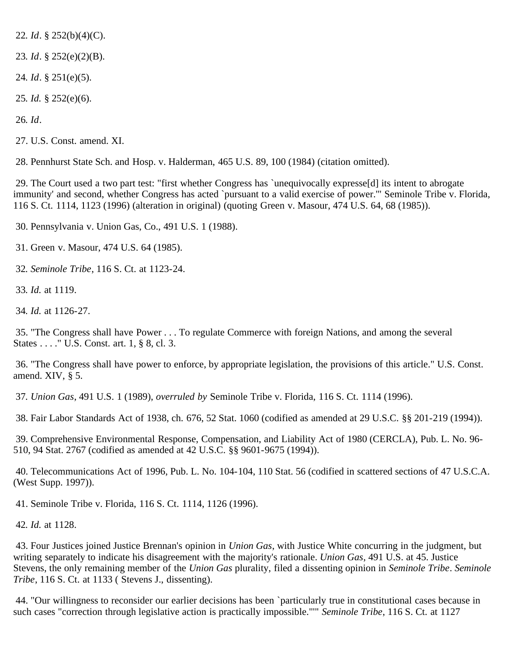<span id="page-10-0"></span>22*. Id*. § 252(b)(4)(C).

<span id="page-10-1"></span>23*. Id*. § 252(e)(2)(B).

<span id="page-10-2"></span>24*. Id*. § 251(e)(5).

<span id="page-10-3"></span>25*. Id.* § 252(e)(6).

<span id="page-10-4"></span>26*. Id*.

<span id="page-10-5"></span>27. U.S. Const. amend. XI.

<span id="page-10-6"></span>28. Pennhurst State Sch. and Hosp. v. Halderman, 465 U.S. 89, 100 (1984) (citation omitted).

<span id="page-10-7"></span> 29. The Court used a two part test: "first whether Congress has `unequivocally expresse[d] its intent to abrogate immunity' and second, whether Congress has acted `pursuant to a valid exercise of power.'" Seminole Tribe v. Florida, 116 S. Ct. 1114, 1123 (1996) (alteration in original) (quoting Green v. Masour, 474 U.S. 64, 68 (1985)).

<span id="page-10-8"></span>30. Pennsylvania v. Union Gas, Co., 491 U.S. 1 (1988).

<span id="page-10-9"></span>31. Green v. Masour, 474 U.S. 64 (1985).

<span id="page-10-10"></span>32*. Seminole Tribe*, 116 S. Ct. at 1123-24.

<span id="page-10-11"></span>33*. Id.* at 1119.

<span id="page-10-12"></span>34*. Id.* at 1126-27.

<span id="page-10-13"></span> 35. "The Congress shall have Power . . . To regulate Commerce with foreign Nations, and among the several States . . . ." U.S. Const. art. 1, § 8, cl. 3.

<span id="page-10-14"></span> 36. "The Congress shall have power to enforce, by appropriate legislation, the provisions of this article." U.S. Const. amend. XIV, § 5.

37*. Union Gas*, 491 U.S. 1 (1989), *overruled by* Seminole Tribe v. Florida, 116 S. Ct. 1114 (1996).

<span id="page-10-15"></span>38. Fair Labor Standards Act of 1938, ch. 676, 52 Stat. 1060 (codified as amended at 29 U.S.C. §§ 201-219 (1994)).

<span id="page-10-16"></span> 39. Comprehensive Environmental Response, Compensation, and Liability Act of 1980 (CERCLA), Pub. L. No. 96- 510, 94 Stat. 2767 (codified as amended at 42 U.S.C. §§ 9601-9675 (1994)).

<span id="page-10-17"></span> 40. Telecommunications Act of 1996, Pub. L. No. 104-104, 110 Stat. 56 (codified in scattered sections of 47 U.S.C.A. (West Supp. 1997)).

<span id="page-10-18"></span>41. Seminole Tribe v. Florida, 116 S. Ct. 1114, 1126 (1996).

<span id="page-10-19"></span>42*. Id.* at 1128.

<span id="page-10-20"></span> 43. Four Justices joined Justice Brennan's opinion in *Union Gas*, with Justice White concurring in the judgment, but writing separately to indicate his disagreement with the majority's rationale. *Union Gas*, 491 U.S. at 45. Justice Stevens, the only remaining member of the *Union Gas* plurality, filed a dissenting opinion in *Seminole Tribe*. *Seminole Tribe*, 116 S. Ct. at 1133 ( Stevens J., dissenting).

<span id="page-10-21"></span> 44. "Our willingness to reconsider our earlier decisions has been `particularly true in constitutional cases because in such cases "correction through legislative action is practically impossible."'" *Seminole Tribe*, 116 S. Ct. at 1127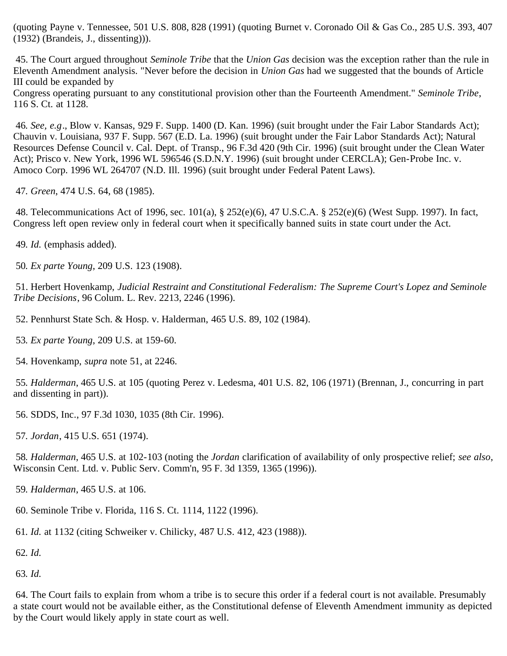(quoting Payne v. Tennessee, 501 U.S. 808, 828 (1991) (quoting Burnet v. Coronado Oil & Gas Co., 285 U.S. 393, 407 (1932) (Brandeis, J., dissenting))).

<span id="page-11-0"></span> 45. The Court argued throughout *Seminole Tribe* that the *Union Gas* decision was the exception rather than the rule in Eleventh Amendment analysis. "Never before the decision in *Union Gas* had we suggested that the bounds of Article III could be expanded by

Congress operating pursuant to any constitutional provision other than the Fourteenth Amendment." *Seminole Tribe*, 116 S. Ct. at 1128.

<span id="page-11-1"></span>46*. See, e.g*., Blow v. Kansas, 929 F. Supp. 1400 (D. Kan. 1996) (suit brought under the Fair Labor Standards Act); Chauvin v. Louisiana, 937 F. Supp. 567 (E.D. La. 1996) (suit brought under the Fair Labor Standards Act); Natural Resources Defense Council v. Cal. Dept. of Transp., 96 F.3d 420 (9th Cir. 1996) (suit brought under the Clean Water Act); Prisco v. New York, 1996 WL 596546 (S.D.N.Y. 1996) (suit brought under CERCLA); Gen-Probe Inc. v. Amoco Corp. 1996 WL 264707 (N.D. Ill. 1996) (suit brought under Federal Patent Laws).

<span id="page-11-2"></span>47*. Green*, 474 U.S. 64, 68 (1985).

<span id="page-11-3"></span> 48. Telecommunications Act of 1996, sec. 101(a), § 252(e)(6), 47 U.S.C.A. § 252(e)(6) (West Supp. 1997). In fact, Congress left open review only in federal court when it specifically banned suits in state court under the Act.

<span id="page-11-4"></span>49*. Id.* (emphasis added).

<span id="page-11-5"></span>50*. Ex parte Young*, 209 U.S. 123 (1908).

<span id="page-11-6"></span> 51. Herbert Hovenkamp, *Judicial Restraint and Constitutional Federalism: The Supreme Court's Lopez and Seminole Tribe Decisions*, 96 Colum. L. Rev. 2213, 2246 (1996).

<span id="page-11-7"></span>52. Pennhurst State Sch. & Hosp. v. Halderman, 465 U.S. 89, 102 (1984).

<span id="page-11-8"></span>53*. Ex parte Young*, 209 U.S. at 159-60.

<span id="page-11-9"></span>54. Hovenkamp, *supra* note 51, at 2246.

<span id="page-11-10"></span>55*. Halderman*, 465 U.S. at 105 (quoting Perez v. Ledesma, 401 U.S. 82, 106 (1971) (Brennan, J., concurring in part and dissenting in part)).

<span id="page-11-11"></span>56. SDDS, Inc*.*, 97 F.3d 1030, 1035 (8th Cir. 1996).

<span id="page-11-12"></span>57*. Jordan*, 415 U.S. 651 (1974).

<span id="page-11-13"></span>58*. Halderman*, 465 U.S. at 102-103 (noting the *Jordan* clarification of availability of only prospective relief; *see also*, Wisconsin Cent. Ltd. v. Public Serv. Comm'n, 95 F. 3d 1359, 1365 (1996)).

<span id="page-11-14"></span>59*. Halderman*, 465 U.S. at 106.

<span id="page-11-15"></span>60. Seminole Tribe v. Florida, 116 S. Ct. 1114, 1122 (1996).

<span id="page-11-16"></span>61*. Id.* at 1132 (citing Schweiker v. Chilicky, 487 U.S. 412, 423 (1988)).

<span id="page-11-17"></span>62*. Id.*

<span id="page-11-18"></span>63*. Id.*

<span id="page-11-19"></span> 64. The Court fails to explain from whom a tribe is to secure this order if a federal court is not available. Presumably a state court would not be available either, as the Constitutional defense of Eleventh Amendment immunity as depicted by the Court would likely apply in state court as well.